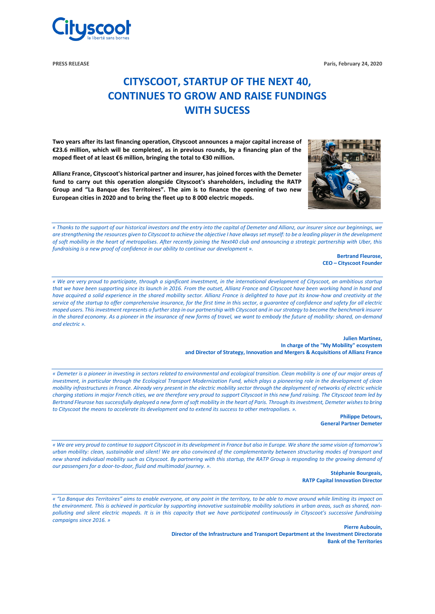

**PRESS RELEASE Paris, February 24, 2020**

# **CITYSCOOT, STARTUP OF THE NEXT 40, CONTINUES TO GROW AND RAISE FUNDINGS WITH SUCESS**

**Two years after its last financing operation, Cityscoot announces a major capital increase of €23.6 million, which will be completed, as in previous rounds, by a financing plan of the moped fleet of at least €6 million, bringing the total to €30 million.**

**Allianz France, Cityscoot's historical partner and insurer, has joined forces with the Demeter fund to carry out this operation alongside Cityscoot's shareholders, including the RATP Group and "La Banque des Territoires". The aim is to finance the opening of two new European cities in 2020 and to bring the fleet up to 8 000 electric mopeds.**



*« Thanks to the support of our historical investors and the entry into the capital of Demeter and Allianz, our insurer since our beginnings, we are strengthening the resources given to Cityscoot to achieve the objective I have always set myself: to be a leading player in the development of soft mobility in the heart of metropolises. After recently joining the Next40 club and announcing a strategic partnership with Uber, this fundraising is a new proof of confidence in our ability to continue our development ».*

> **Bertrand Fleurose, CEO – Cityscoot Founder**

*« We are very proud to participate, through a significant investment, in the international development of Cityscoot, an ambitious startup*  that we have been supporting since its launch in 2016. From the outset, Allianz France and Cityscoot have been working hand in hand and *have acquired a solid experience in the shared mobility sector. Allianz France is delighted to have put its know-how and creativity at the service of the startup to offer comprehensive insurance, for the first time in this sector, a guarantee of confidence and safety for all electric moped users. This investment represents a further step in our partnership with Cityscoot and in our strategy to become the benchmark insurer in the shared economy. As a pioneer in the insurance of new forms of travel, we want to embody the future of mobility: shared, on-demand and electric ».*

> **Julien Martinez, In charge of the "My Mobility" ecosystem and Director of Strategy, Innovation and Mergers & Acquisitions of Allianz France**

*« Demeter is a pioneer in investing in sectors related to environmental and ecological transition. Clean mobility is one of our major areas of investment, in particular through the Ecological Transport Modernization Fund, which plays a pioneering role in the development of clean mobility infrastructures in France. Already very present in the electric mobility sector through the deployment of networks of electric vehicle charging stations in major French cities, we are therefore very proud to support Cityscoot in this new fund raising. The Cityscoot team led by Bertrand Fleurose has successfully deployed a new form of soft mobility in the heart of Paris. Through its investment, Demeter wishes to bring to Cityscoot the means to accelerate its development and to extend its success to other metropolises. ».* 

> **Philippe Detours, General Partner Demeter**

*« We are very proud to continue to support Cityscoot in its development in France but also in Europe. We share the same vision of tomorrow's urban mobility: clean, sustainable and silent! We are also convinced of the complementarity between structuring modes of transport and new shared individual mobility such as Cityscoot. By partnering with this startup, the RATP Group is responding to the growing demand of our passengers for a door-to-door, fluid and multimodal journey. ».*

> **Stéphanie Bourgeais, RATP Capital Innovation Director**

*« "La Banque des Territoires" aims to enable everyone, at any point in the territory, to be able to move around while limiting its impact on the environment. This is achieved in particular by supporting innovative sustainable mobility solutions in urban areas, such as shared, nonpolluting and silent electric mopeds. It is in this capacity that we have participated continuously in Cityscoot's successive fundraising campaigns since 2016. »*

> **Pierre Aubouin, Director of the Infrastructure and Transport Department at the Investment Directorate Bank of the Territories**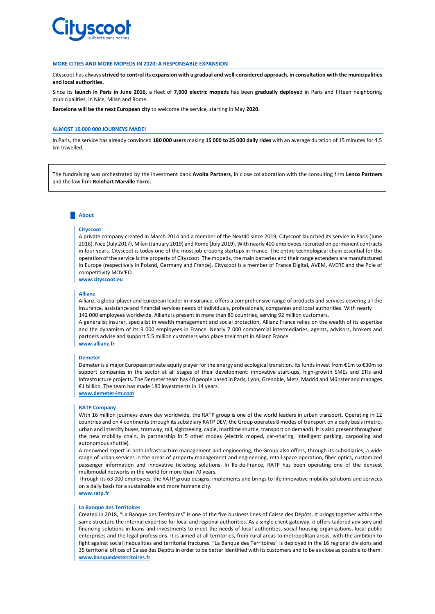

#### **MORE CITIES AND MORE MOPEDS IN 2020: A RESPONSABLE EXPANSION**

Cityscoot has always **strived to control its expansion with a gradual and well-considered approach, in consultation with the municipalities and local authorities.**

Since its **launch in Paris in June 2016,** a fleet of **7,000 electric mopeds** has been **gradually deploye**d in Paris and fifteen neighboring municipalities, in Nice, Milan and Rome.

**Barcelona will be the next European city** to welcome the service, starting in May **2020.**

### **ALMOST 10 000 000 JOURNEYS MADE!**

In Paris, the service has already convinced **180 000 users** making **15 000 to 25 000 daily rides** with an average duration of 15 minutes for 4.5 km travelled.

The fundraising was orchestrated by the investment bank **Avolta Partners**, in close collaboration with the consulting firm **Lenzo Partners** and the law firm **Reinhart Marville Torre.**

## **About**

#### **Cityscoot**

A private company created in March 2014 and a member of the Next40 since 2019, Cityscoot launched its service in Paris (June 2016), Nice (July 2017), Milan (January 2019) and Rome (July 2019). With nearly 400 employees recruited on permanent contracts in four years. Cityscoot is today one of the most job-creating startups in France. The entire technological chain essential for the operation of the service is the property of Cityscoot. The mopeds, the main batteries and their range extenders are manufactured in Europe (respectively in Poland, Germany and France). Cityscoot is a member of France Digital, AVEM, AVERE and the Pole of competitivitý MOV'EO. **www.cityscoot.eu**

#### **Allianz**

Allianz, a global player and European leader in insurance, offers a comprehensive range of products and services covering all the insurance, assistance and financial services needs of individuals, professionals, companies and local authorities. With nearly 142 000 employees worldwide, Allianz is present in more than 80 countries, serving 92 million customers.

A generalist insurer, specialist in wealth management and social protection, Allianz France relies on the wealth of its expertise and the dynamism of its 9 000 employees in France. Nearly 7 000 commercial intermediaries, agents, advisors, brokers and partners advise and support 5.5 million customers who place their trust in Allianz France. **www.allianz.fr**

#### **Demeter**

Demeter is a major European private equity player for the energy and ecological transition. Its funds invest from €1m to €30m to support companies in the sector at all stages of their development: innovative start-ups, high-growth SMEs and ETIs and infrastructure projects. The Demeter team has 40 people based in Paris, Lyon, Grenoble, Metz, Madrid and Münster and manages €1 billion. The team has made 180 investments in 14 years. **[www.demeter-im.com](http://www.demeter-im.com/)**

# **RATP Company**

With 16 million journeys every day worldwide, the RATP group is one of the world leaders in urban transport. Operating in 12 countries and on 4 continents through its subsidiary RATP DEV, the Group operates 8 modes of transport on a daily basis (metro, urban and intercity buses, tramway, rail, sightseeing, cable, maritime shuttle, transport on demand). It is also present throughout the new mobility chain, in partnership in 5 other modes (electric moped, car-sharing, intelligent parking, carpooling and autonomous shuttle).

A renowned expert in both infrastructure management and engineering, the Group also offers, through its subsidiaries, a wide range of urban services in the areas of property management and engineering, retail space operation, fiber optics, customized passenger information and innovative ticketing solutions. In Ile-de-France, RATP has been operating one of the densest multimodal networks in the world for more than 70 years.

Through its 63 000 employees, the RATP group designs, implements and brings to life innovative mobility solutions and services on a daily basis for a sustainable and more humane city. **[www.ratp.fr](http://www.demeter-im.com/)**

# **La Banque des Territoires**

Created in 2018, "La Banque des Territoires" is one of the five business lines of Caisse des Dépôts. It brings together within the same structure the internal expertise for local and regional authorities. As a single client gateway, it offers tailored advisory and financing solutions in loans and investments to meet the needs of local authorities, social housing organizations, local public enterprises and the legal professions. It is aimed at all territories, from rural areas to metropolitan areas, with the ambition to fight against social inequalities and territorial fractures. "La Banque des Territoires" is deployed in the 16 regional divisions and 35 territorial offices of Caisse des Dépôts in order to be better identified with its customers and to be as close as possible to them. **[www.banquedesterritoires.fr](http://www.banquedesterritoires.fr/)**